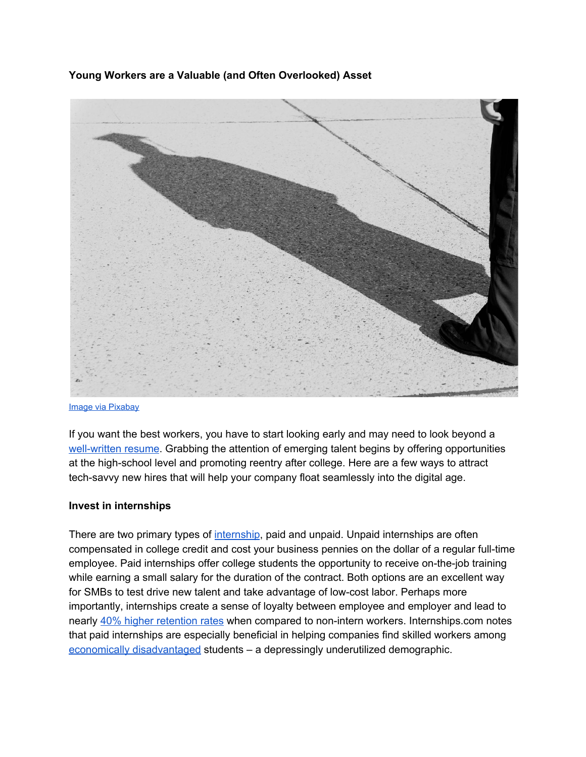**Young Workers are a Valuable (and Often Overlooked) Asset**



#### [Image via Pixabay](https://pixabay.com/en/graduation-future-university-cap-1695185/)

If you want the best workers, you have to start looking early and may need to look beyond a [well-written](https://www.redfin.com/blog/2009/01/how_i_look_at_resumes.html) resume. Grabbing the attention of emerging talent begins by offering opportunities at the high-school level and promoting reentry after college. Here are a few ways to attract tech-savvy new hires that will help your company float seamlessly into the digital age.

## **Invest in internships**

There are two primary types o[f](http://www.vault.com/internship-rankings/top-10-internships/) [internship,](http://www.vault.com/internship-rankings/top-10-internships/) paid and unpaid. Unpaid internships are often compensated in college credit and cost your business pennies on the dollar of a regular full-time employee. Paid internships offer college students the opportunity to receive on-the-job training while earning a small salary for the duration of the contract. Both options are an excellent way for SMBs to test drive new talent and take advantage of low-cost labor. Perhaps more importantly, internships create a sense of loyalty between employee and employer and lead to nearly [4](http://www.internships.com/employer/resources/setup/benefits)0% higher [retention](http://www.internships.com/employer/resources/setup/benefits) rates when compared to non-intern workers. Internships.com notes that paid internships are especially beneficial in helping companies find skilled workers among economically [disadvantaged](https://www.americanprogress.org/issues/race/news/2013/09/24/75320/why-economic-disadvantage-becomes-educational-disadvantage/) students – a depressingly underutilized demographic.